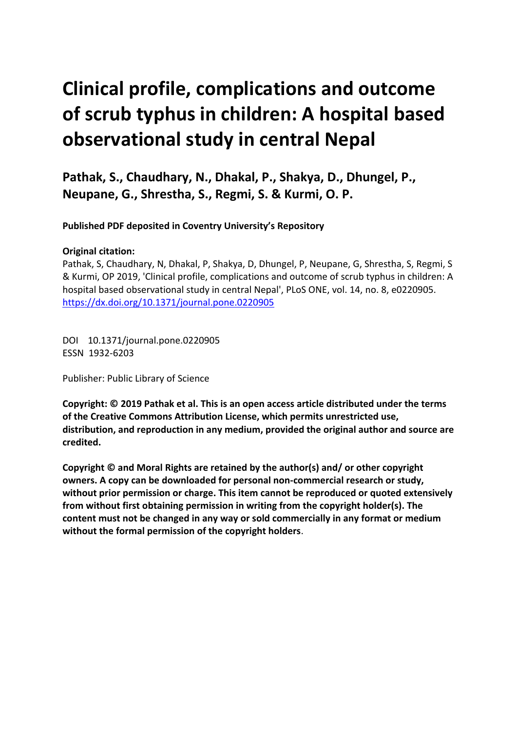# **Clinical profile, complications and outcome of scrub typhus in children: A hospital based observational study in central Nepal**

**Pathak, S., Chaudhary, N., Dhakal, P., Shakya, D., Dhungel, P., Neupane, G., Shrestha, S., Regmi, S. & Kurmi, O. P.** 

**Published PDF deposited in Coventry University's Repository** 

#### **Original citation:**

Pathak, S, Chaudhary, N, Dhakal, P, Shakya, D, Dhungel, P, Neupane, G, Shrestha, S, Regmi, S & Kurmi, OP 2019, 'Clinical profile, complications and outcome of scrub typhus in children: A hospital based observational study in central Nepal', PLoS ONE, vol. 14, no. 8, e0220905. https://dx.doi.org/10.1371/journal.pone.0220905

 DOI 10.1371/journal.pone.0220905 ESSN 1932-6203

Publisher: Public Library of Science

**Copyright: © 2019 Pathak et al. This is an open access article distributed under the terms of the Creative Commons Attribution License, which permits unrestricted use, distribution, and reproduction in any medium, provided the original author and source are credited.** 

**Copyright © and Moral Rights are retained by the author(s) and/ or other copyright owners. A copy can be downloaded for personal non-commercial research or study, without prior permission or charge. This item cannot be reproduced or quoted extensively from without first obtaining permission in writing from the copyright holder(s). The content must not be changed in any way or sold commercially in any format or medium without the formal permission of the copyright holders**.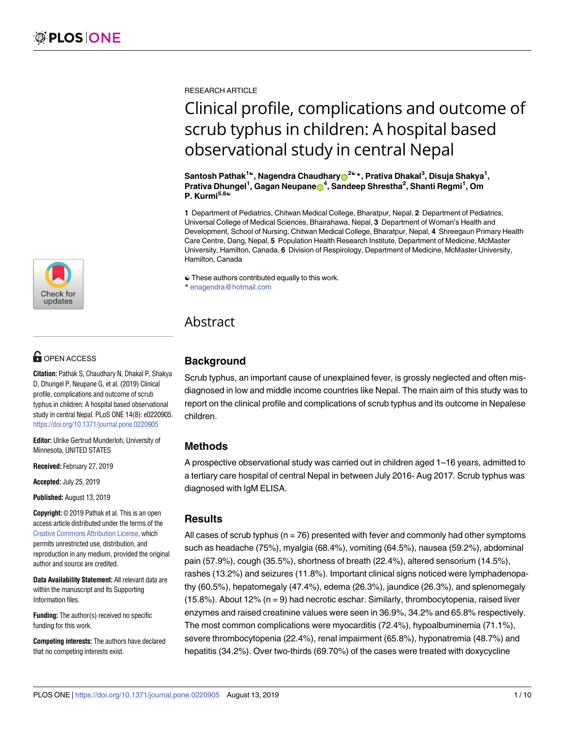

## **OPEN ACCESS**

**Citation:** Pathak S, Chaudhary N, Dhakal P, Shakya D, Dhungel P, Neupane G, et al. (2019) Clinical profile, complications and outcome of scrub typhus in children: A hospital based observational study in central Nepal. PLoS ONE 14(8): e0220905. <https://doi.org/10.1371/journal.pone.0220905>

**Editor:** Ulrike Gertrud Munderloh, University of Minnesota, UNITED STATES

**Received:** February 27, 2019

**Accepted:** July 25, 2019

**Published:** August 13, 2019

**Copyright:** © 2019 Pathak et al. This is an open access article distributed under the terms of the Creative Commons [Attribution](http://creativecommons.org/licenses/by/4.0/) License, which permits unrestricted use, distribution, and reproduction in any medium, provided the original author and source are credited.

**Data Availability Statement:** All relevant data are within the manuscript and its Supporting Information files.

**Funding:** The author(s) received no specific funding for this work.

**Competing interests:** The authors have declared that no competing interests exist.

RESEARCH ARTICLE

## Clinical profile, complications and outcome of scrub typhus in children: A hospital based observational study in central Nepal

 $\mathsf{Santosh} \, \mathsf{Pathak}^{\mathsf{1}\circ}, \mathsf{N}$ agendra Chaudhary $\bigcirc^{\mathsf{2}\circ\ast}, \mathsf{Prativa} \, \mathsf{Dhaka} \mathsf{l}^3, \mathsf{Disuja} \, \mathsf{Shakya}^1,$ **Prativa Dhungel<sup>1</sup>, Gagan Neupane<sup>64</sup>, Sandeep Shrestha<sup>2</sup>, Shanti Regmi<sup>1</sup>, Om P. Kurmi5,6**☯

**1** Department of Pediatrics, Chitwan Medical College, Bharatpur, Nepal, **2** Department of Pediatrics, Universal College of Medical Sciences, Bhairahawa, Nepal, **3** Department of Woman's Health and Development, School of Nursing, Chitwan Medical College, Bharatpur, Nepal, **4** Shreegaun Primary Health Care Centre, Dang, Nepal, **5** Population Health Research Institute, Department of Medicine, McMaster University, Hamilton, Canada, **6** Division of Respirology, Department of Medicine, McMaster University, Hamilton, Canada

☯ These authors contributed equally to this work.

\* enagendra@hotmail.com

### Abstract

#### **Background**

Scrub typhus, an important cause of unexplained fever, is grossly neglected and often misdiagnosed in low and middle income countries like Nepal. The main aim of this study was to report on the clinical profile and complications of scrub typhus and its outcome in Nepalese children.

#### **Methods**

A prospective observational study was carried out in children aged 1–16 years, admitted to a tertiary care hospital of central Nepal in between July 2016- Aug 2017. Scrub typhus was diagnosed with IgM ELISA.

#### **Results**

All cases of scrub typhus ( $n = 76$ ) presented with fever and commonly had other symptoms such as headache (75%), myalgia (68.4%), vomiting (64.5%), nausea (59.2%), abdominal pain (57.9%), cough (35.5%), shortness of breath (22.4%), altered sensorium (14.5%), rashes (13.2%) and seizures (11.8%). Important clinical signs noticed were lymphadenopathy (60.5%), hepatomegaly (47.4%), edema (26.3%), jaundice (26.3%), and splenomegaly  $(15.8\%)$ . About 12% (n = 9) had necrotic eschar. Similarly, thrombocytopenia, raised liver enzymes and raised creatinine values were seen in 36.9%, 34.2% and 65.8% respectively. The most common complications were myocarditis (72.4%), hypoalbuminemia (71.1%), severe thrombocytopenia (22.4%), renal impairment (65.8%), hyponatremia (48.7%) and hepatitis (34.2%). Over two-thirds (69.70%) of the cases were treated with doxycycline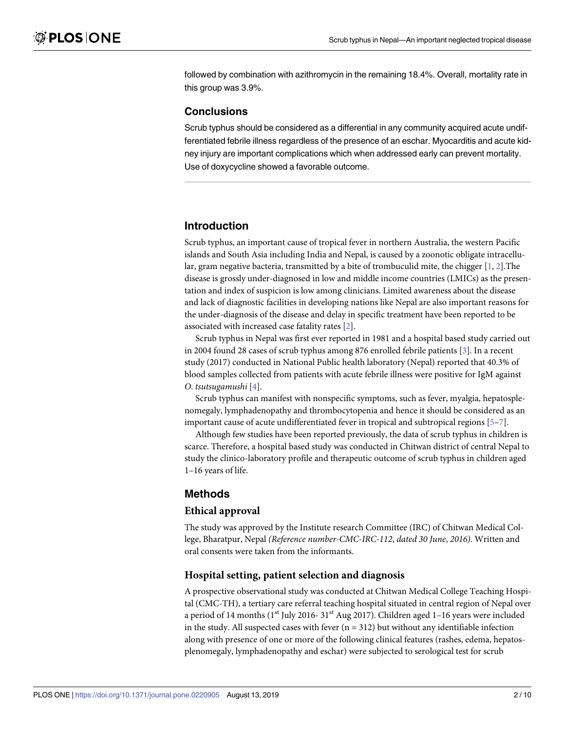<span id="page-2-0"></span>followed by combination with azithromycin in the remaining 18.4%. Overall, mortality rate in this group was 3.9%.

#### **Conclusions**

Scrub typhus should be considered as a differential in any community acquired acute undifferentiated febrile illness regardless of the presence of an eschar. Myocarditis and acute kidney injury are important complications which when addressed early can prevent mortality. Use of doxycycline showed a favorable outcome.

#### **Introduction**

Scrub typhus, an important cause of tropical fever in northern Australia, the western Pacific islands and South Asia including India and Nepal, is caused by a zoonotic obligate intracellular, gram negative bacteria, transmitted by a bite of trombuculid mite, the chigger [\[1](#page-9-0), [2](#page-9-0)].The disease is grossly under-diagnosed in low and middle income countries (LMICs) as the presentation and index of suspicion is low among clinicians. Limited awareness about the disease and lack of diagnostic facilities in developing nations like Nepal are also important reasons for the under-diagnosis of the disease and delay in specific treatment have been reported to be associated with increased case fatality rates [\[2\]](#page-9-0).

Scrub typhus in Nepal was first ever reported in 1981 and a hospital based study carried out in 2004 found 28 cases of scrub typhus among 876 enrolled febrile patients [\[3\]](#page-9-0). In a recent study (2017) conducted in National Public health laboratory (Nepal) reported that 40.3% of blood samples collected from patients with acute febrile illness were positive for IgM against *O*. *tsutsuga ushi* [[4](#page-9-0)].

Scrub typhus can manifest with nonspecific symptoms, such as fever, myalgia, hepatosplenomegaly, lymphadenopathy and thrombocytopenia and hence it should be considered as an important cause of acute undifferentiated fever in tropical and subtropical regions  $[5-7]$ .

Although few studies have been reported previously, the data of scrub typhus in children is scarce. Therefore, a hospital based study was conducted in Chitwan district of central Nepal to study the clinico-laboratory profile and therapeutic outcome of scrub typhus in children aged 1–16 years of life.

#### **Methods**

#### **Ethical approval**

The study was approved by the Institute research Committee (IRC) of Chitwan Medical College, Bharatpur, Nepal *(Reference number-CMC-IRC-112, dated 30 June, 2016)*. Written and oral consents were taken from the informants.

#### **Hospital setting, patient selection and diagnosis**

A prospective observational study was conducted at Chitwan Medical College Teaching Hospital (CMC-TH), a tertiary care referral teaching hospital situated in central region of Nepal over a period of 14 months  $(1<sup>st</sup>$  July 2016-31<sup>st</sup> Aug 2017). Children aged 1–16 years were included in the study. All suspected cases with fever  $(n = 312)$  but without any identifiable infection along with presence of one or more of the following clinical features (rashes, edema, hepatosplenomegaly, lymphadenopathy and eschar) were subjected to serological test for scrub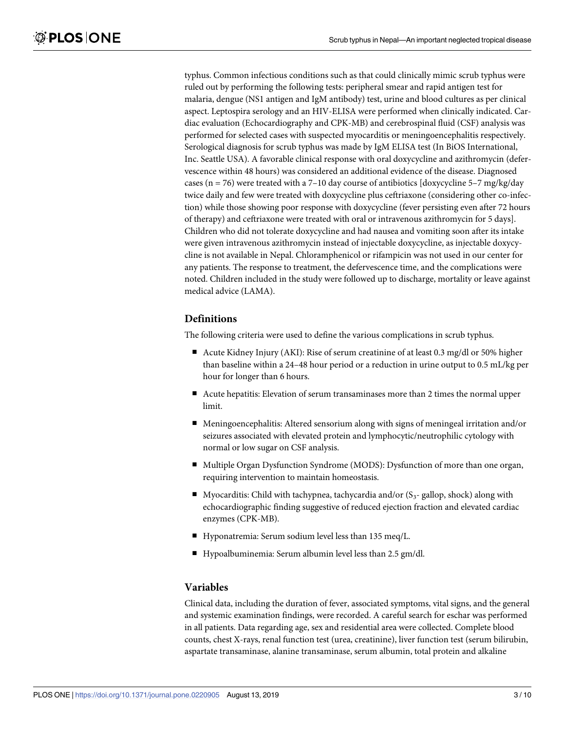typhus. Common infectious conditions such as that could clinically mimic scrub typhus were ruled out by performing the following tests: peripheral smear and rapid antigen test for malaria, dengue (NS1 antigen and IgM antibody) test, urine and blood cultures as per clinical aspect. Leptospira serology and an HIV-ELISA were performed when clinically indicated. Cardiac evaluation (Echocardiography and CPK-MB) and cerebrospinal fluid (CSF) analysis was performed for selected cases with suspected myocarditis or meningoencephalitis respectively. Serological diagnosis for scrub typhus was made by IgM ELISA test (In BiOS International, Inc. Seattle USA). A favorable clinical response with oral doxycycline and azithromycin (defervescence within 48 hours) was considered an additional evidence of the disease. Diagnosed cases ( $n = 76$ ) were treated with a 7-10 day course of antibiotics [doxycycline 5-7 mg/kg/day twice daily and few were treated with doxycycline plus ceftriaxone (considering other co-infection) while those showing poor response with doxycycline (fever persisting even after 72 hours of therapy) and ceftriaxone were treated with oral or intravenous azithromycin for 5 days]. Children who did not tolerate doxycycline and had nausea and vomiting soon after its intake were given intravenous azithromycin instead of injectable doxycycline, as injectable doxycycline is not available in Nepal. Chloramphenicol or rifampicin was not used in our center for any patients. The response to treatment, the defervescence time, and the complications were noted. Children included in the study were followed up to discharge, mortality or leave against medical advice (LAMA).

#### **Definitions**

The following criteria were used to define the various complications in scrub typhus.

- Acute Kidney Injury (AKI): Rise of serum creatinine of at least 0.3 mg/dl or 50% higher than baseline within a 24–48 hour period or a reduction in urine output to 0.5 mL/kg per hour for longer than 6 hours.
- Acute hepatitis: Elevation of serum transaminases more than 2 times the normal upper limit.
- Meningoencephalitis: Altered sensorium along with signs of meningeal irritation and/or seizures associated with elevated protein and lymphocytic/neutrophilic cytology with normal or low sugar on CSF analysis.
- Multiple Organ Dysfunction Syndrome (MODS): Dysfunction of more than one organ, requiring intervention to maintain homeostasis.
- Myocarditis: Child with tachypnea, tachycardia and/or  $(S_3$  gallop, shock) along with echocardiographic finding suggestive of reduced ejection fraction and elevated cardiac enzymes (CPK-MB).
- Hyponatremia: Serum sodium level less than 135 meq/L.
- Hypoalbuminemia: Serum albumin level less than 2.5 gm/dl.

#### **Variables**

Clinical data, including the duration of fever, associated symptoms, vital signs, and the general and systemic examination findings, were recorded. A careful search for eschar was performed in all patients. Data regarding age, sex and residential area were collected. Complete blood counts, chest X-rays, renal function test (urea, creatinine), liver function test (serum bilirubin, aspartate transaminase, alanine transaminase, serum albumin, total protein and alkaline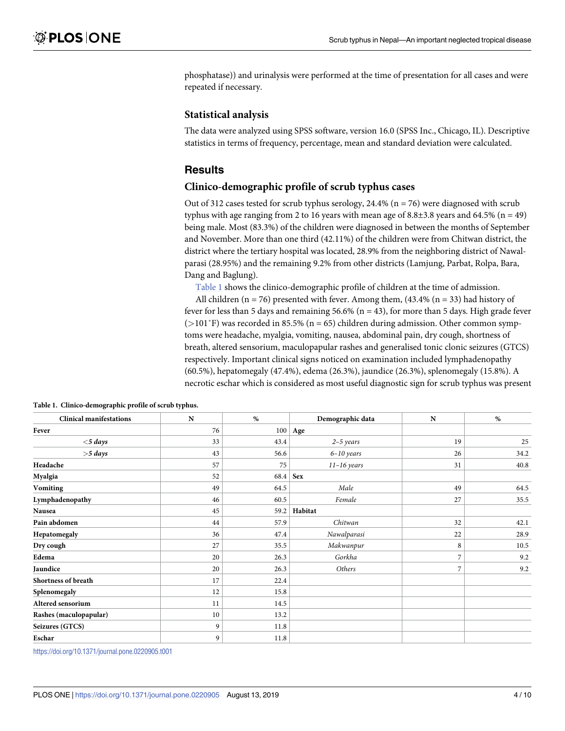phosphatase)) and urinalysis were performed at the time of presentation for all cases and were repeated if necessary.

#### **Statistical analysis**

The data were analyzed using SPSS software, version 16.0 (SPSS Inc., Chicago, IL). Descriptive statistics in terms of frequency, percentage, mean and standard deviation were calculated.

#### **Results**

#### **Clinico-demographic profile of scrub typhus cases**

Out of 312 cases tested for scrub typhus serology, 24.4% ( $n = 76$ ) were diagnosed with scrub typhus with age ranging from 2 to 16 years with mean age of  $8.8\pm3.8$  years and  $64.5\%$  (n = 49) being male. Most (83.3%) of the children were diagnosed in between the months of September and November. More than one third (42.11%) of the children were from Chitwan district, the district where the tertiary hospital was located, 28.9% from the neighboring district of Nawalparasi (28.95%) and the remaining 9.2% from other districts (Lamjung, Parbat, Rolpa, Bara, Dang and Baglung).

Table 1 shows the clinico-demographic profile of children at the time of admission.

All children ( $n = 76$ ) presented with fever. Among them, (43.4% ( $n = 33$ ) had history of fever for less than 5 days and remaining 56.6% ( $n = 43$ ), for more than 5 days. High grade fever (*>*101˚F) was recorded in 85.5% (n = 65) children during admission. Other common symptoms were headache, myalgia, vomiting, nausea, abdominal pain, dry cough, shortness of breath, altered sensorium, maculopapular rashes and generalised tonic clonic seizures (GTCS) respectively. Important clinical signs noticed on examination included lymphadenopathy (60.5%), hepatomegaly (47.4%), edema (26.3%), jaundice (26.3%), splenomegaly (15.8%). A necrotic eschar which is considered as most useful diagnostic sign for scrub typhus was present

| <b>Clinical manifestations</b> | $\mathbf N$ | $\%$ | Demographic data | N              | %    |
|--------------------------------|-------------|------|------------------|----------------|------|
| Fever                          | 76          | 100  | Age              |                |      |
| $<$ 5 days                     | 33          | 43.4 | $2-5$ years      | 19             | 25   |
| $>5$ days                      | 43          | 56.6 | $6-10$ years     | 26             | 34.2 |
| Headache                       | 57          | 75   | $11-16$ years    | 31             | 40.8 |
| Myalgia                        | 52          | 68.4 | <b>Sex</b>       |                |      |
| <b>Vomiting</b>                | 49          | 64.5 | Male             | 49             | 64.5 |
| Lymphadenopathy                | 46          | 60.5 | Female           | 27             | 35.5 |
| Nausea                         | 45          | 59.2 | Habitat          |                |      |
| Pain abdomen                   | 44          | 57.9 | Chitwan          | 32             | 42.1 |
| Hepatomegaly                   | 36          | 47.4 | Nawalparasi      | 22             | 28.9 |
| Dry cough                      | 27          | 35.5 | Makwanpur        | 8              | 10.5 |
| Edema                          | 20          | 26.3 | Gorkha           | 7              | 9.2  |
| Jaundice                       | 20          | 26.3 | Others           | $\overline{7}$ | 9.2  |
| Shortness of breath            | 17          | 22.4 |                  |                |      |
| Splenomegaly                   | 12          | 15.8 |                  |                |      |
| Altered sensorium              | 11          | 14.5 |                  |                |      |
| Rashes (maculopapular)         | 10          | 13.2 |                  |                |      |
| Seizures (GTCS)                | 9           | 11.8 |                  |                |      |
| Eschar                         | 9           | 11.8 |                  |                |      |

**Table 1. Clinico-demographic profile of scrub typhus.**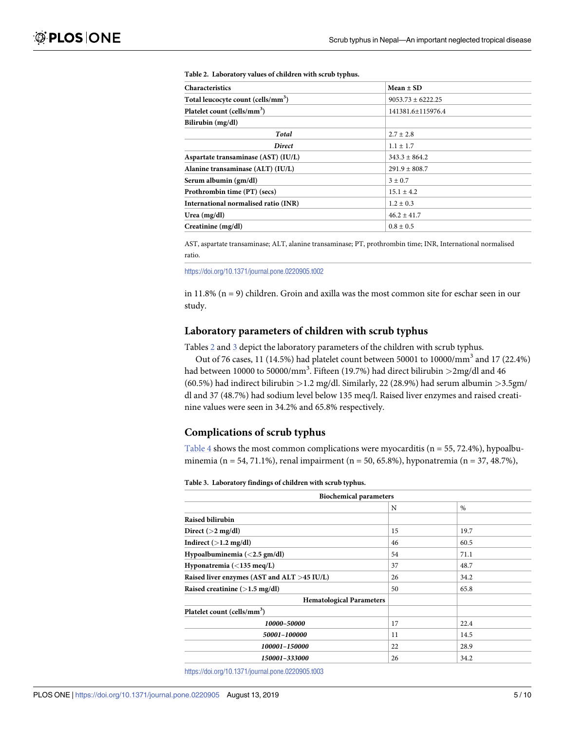| <b>Characteristics</b>                         | $Mean \pm SD$       |  |  |
|------------------------------------------------|---------------------|--|--|
| Total leucocyte count (cells/mm <sup>3</sup> ) | $9053.73 + 6222.25$ |  |  |
| Platelet count (cells/mm <sup>3</sup> )        | 141381.6±115976.4   |  |  |
| Bilirubin (mg/dl)                              |                     |  |  |
| <b>Total</b>                                   | $2.7 \pm 2.8$       |  |  |
| <b>Direct</b>                                  | $1.1 \pm 1.7$       |  |  |
| Aspartate transaminase (AST) (IU/L)            | $343.3 \pm 864.2$   |  |  |
| Alanine transaminase (ALT) (IU/L)              | $291.9 \pm 808.7$   |  |  |
| Serum albumin (gm/dl)                          | $3 \pm 0.7$         |  |  |
| Prothrombin time (PT) (secs)                   | $15.1 \pm 4.2$      |  |  |
| International normalised ratio (INR)           | $1.2 \pm 0.3$       |  |  |
| Urea $(mg/dl)$                                 | $46.2 + 41.7$       |  |  |
| Creatinine (mg/dl)                             | $0.8 \pm 0.5$       |  |  |

#### <span id="page-5-0"></span>**Table 2. Laboratory values of children with scrub typhus.**

AST, aspartate transaminase; ALT, alanine transaminase; PT, prothrombin time; INR, International normalised ratio.

<https://doi.org/10.1371/journal.pone.0220905.t002>

in  $11.8\%$  (n = 9) children. Groin and axilla was the most common site for eschar seen in our study.

#### **Laboratory parameters of children with scrub typhus**

Tables 2 and 3 depict the laboratory parameters of the children with scrub typhus.

Out of 76 cases, 11 (14.5%) had platelet count between 50001 to 10000/mm3 and 17 (22.4%) had between 10000 to 50000/mm<sup>3</sup> . Fifteen (19.7%) had direct bilirubin *>*2mg/dl and 46 (60.5%) had indirect bilirubin *>*1.2 mg/dl. Similarly, 22 (28.9%) had serum albumin *>*3.5gm/ dl and 37 (48.7%) had sodium level below 135 meq/l. Raised liver enzymes and raised creatinine values were seen in 34.2% and 65.8% respectively.

#### **Complications of scrub typhus**

[Table 4](#page-6-0) shows the most common complications were myocarditis ( $n = 55, 72.4\%$ ), hypoalbuminemia (n = 54, 71.1%), renal impairment (n = 50, 65.8%), hyponatremia (n = 37, 48.7%),

#### **Table 3. Laboratory findings of children with scrub typhus.**

| <b>Biochemical parameters</b>                                                |    |               |  |
|------------------------------------------------------------------------------|----|---------------|--|
|                                                                              | N  | $\frac{0}{0}$ |  |
| Raised bilirubin                                                             |    |               |  |
| Direct $(>2 \text{ mg/dl})$                                                  | 15 | 19.7          |  |
| Indirect $(>1.2 \text{ mg/dl})$                                              | 46 | 60.5          |  |
| Hypoalbuminemia $\left\langle \langle 2.5 \text{ gm/dl} \rangle \right\vert$ |    | 71.1          |  |
| Hyponatremia ( $\langle 135 \text{ meg/L}}$ )                                |    | 48.7          |  |
| Raised liver enzymes (AST and ALT >45 IU/L)                                  |    | 34.2          |  |
| Raised creatinine $(>1.5 \text{ mg/dl})$                                     |    | 65.8          |  |
| <b>Hematological Parameters</b>                                              |    |               |  |
| Platelet count (cells/mm <sup>3</sup> )                                      |    |               |  |
| 10000-50000                                                                  | 17 | 22.4          |  |
| 50001-100000                                                                 | 11 | 14.5          |  |
| 100001-150000                                                                | 22 | 28.9          |  |
| 150001-333000                                                                | 26 | 34.2          |  |
|                                                                              |    |               |  |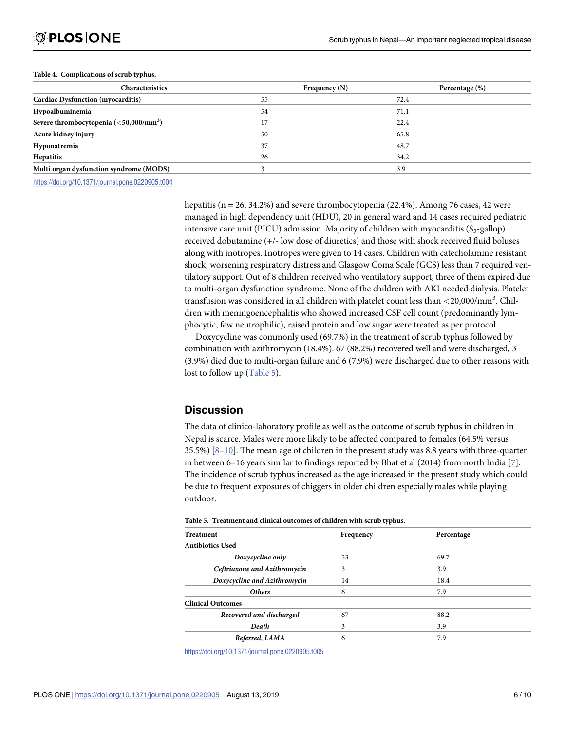#### <span id="page-6-0"></span>**[Table 4.](#page-5-0) Complications of scrub typhus.**

| <b>Characteristics</b>                   | Frequency $(N)$ | Percentage (%) |
|------------------------------------------|-----------------|----------------|
| <b>Cardiac Dysfunction (myocarditis)</b> | 55              | 72.4           |
| Hypoalbuminemia                          | 54              | 71.1           |
| Severe thrombocytopenia $(50,000/mm3)$   | 17              | 22.4           |
| Acute kidney injury                      | 50              | 65.8           |
| Hyponatremia                             | 37              | 48.7           |
| Hepatitis                                | 26              | 34.2           |
| Multi organ dysfunction syndrome (MODS)  |                 | 3.9            |

<https://doi.org/10.1371/journal.pone.0220905.t004>

hepatitis ( $n = 26, 34.2\%$ ) and severe thrombocytopenia (22.4%). Among 76 cases, 42 were managed in high dependency unit (HDU), 20 in general ward and 14 cases required pediatric intensive care unit (PICU) admission. Majority of children with myocarditis  $(S_3$ -gallop) received dobutamine (+/- low dose of diuretics) and those with shock received fluid boluses along with inotropes. Inotropes were given to 14 cases. Children with catecholamine resistant shock, worsening respiratory distress and Glasgow Coma Scale (GCS) less than 7 required ventilatory support. Out of 8 children received who ventilatory support, three of them expired due to multi-organ dysfunction syndrome. None of the children with AKI needed dialysis. Platelet transfusion was considered in all children with platelet count less than *<*20,000/mm<sup>3</sup> . Children with meningoencephalitis who showed increased CSF cell count (predominantly lymphocytic, few neutrophilic), raised protein and low sugar were treated as per protocol.

Doxycycline was commonly used (69.7%) in the treatment of scrub typhus followed by combination with azithromycin (18.4%). 67 (88.2%) recovered well and were discharged, 3 (3.9%) died due to multi-organ failure and 6 (7.9%) were discharged due to other reasons with lost to follow up (Table 5).

#### **Discussion**

The data of clinico-laboratory profile as well as the outcome of scrub typhus in children in Nepal is scarce. Males were more likely to be affected compared to females (64.5% versus 35.5%)  $[8-10]$ . The mean age of children in the present study was 8.8 years with three-quarter in between 6–16 years similar to findings reported by Bhat et al  $(2014)$  from north India [\[7\]](#page-9-0). The incidence of scrub typhus increased as the age increased in the present study which could be due to frequent exposures of chiggers in older children especially males while playing outdoor.

| <b>Treatment</b>             | Frequency | Percentage |  |
|------------------------------|-----------|------------|--|
| <b>Antibiotics Used</b>      |           |            |  |
| Doxycycline only             | 53        | 69.7       |  |
| Ceftriaxone and Azithromycin | 3         | 3.9        |  |
| Doxycycline and Azithromycin | 14        | 18.4       |  |
| <b>Others</b>                | 6         | 7.9        |  |
| <b>Clinical Outcomes</b>     |           |            |  |
| Recovered and discharged     | 67        | 88.2       |  |
| Death                        | 3         | 3.9        |  |
| Referred, LAMA               | 6         | 7.9        |  |

**Table 5. Treatment and clinical outcomes of children with scrub typhus.**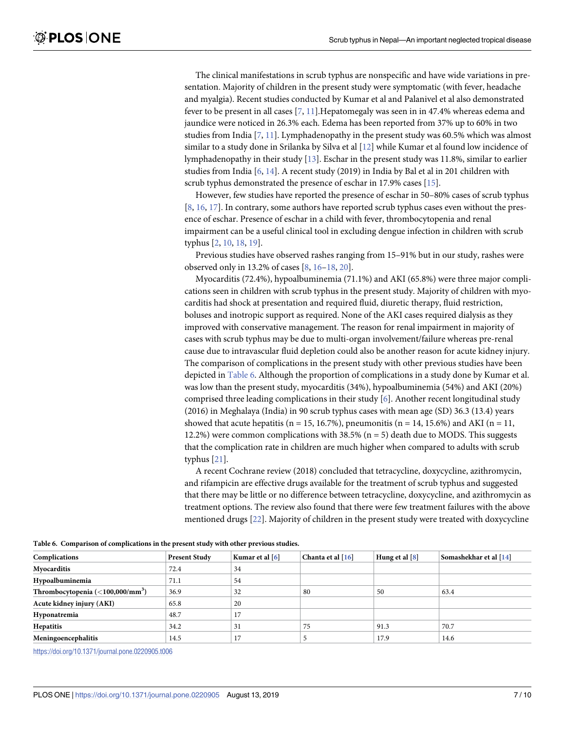<span id="page-7-0"></span>The clinical manifestations in scrub typhus are nonspecific and have wide variations in presentation. Majority of children in the present study were symptomatic (with fever, headache and myalgia). Recent studies conducted by Kumar et al and Palanivel et al also demonstrated fever to be present in all cases [[7](#page-9-0), [11](#page-9-0)].Hepatomegaly was seen in in 47.4% whereas edema and jaundice were noticed in 26.3% each. Edema has been reported from 37% up to 60% in two studies from India  $[7, 11]$  $[7, 11]$  $[7, 11]$  $[7, 11]$  $[7, 11]$ . Lymphadenopathy in the present study was 60.5% which was almost similar to a study done in Srilanka by Silva et al [[12](#page-9-0)] while Kumar et al found low incidence of lymphadenopathy in their study [\[13\]](#page-9-0). Eschar in the present study was 11.8%, similar to earlier studies from India [[6](#page-9-0), [14](#page-9-0)]. A recent study (2019) in India by Bal et al in 201 children with scrub typhus demonstrated the presence of eschar in 17.9% cases [[15](#page-9-0)].

However, few studies have reported the presence of eschar in 50–80% cases of scrub typhus [\[8](#page-9-0), [16](#page-9-0), [17](#page-9-0)]. In contrary, some authors have reported scrub typhus cases even without the presence of eschar. Presence of eschar in a child with fever, thrombocytopenia and renal impairment can be a useful clinical tool in excluding dengue infection in children with scrub typhus [\[2](#page-9-0), [10](#page-9-0), [18](#page-10-0), [19](#page-10-0)].

Previous studies have observed rashes ranging from 15–91% but in our study, rashes were observed only in 13.2% of cases [\[8, 16–](#page-9-0)[18, 20\]](#page-10-0).

Myocarditis (72.4%), hypoalbuminemia (71.1%) and AKI (65.8%) were three major complications seen in children with scrub typhus in the present study. Majority of children with myocarditis had shock at presentation and required fluid, diuretic therapy, fluid restriction, boluses and inotropic support as required. None of the AKI cases required dialysis as they improved with conservative management. The reason for renal impairment in majority of cases with scrub typhus may be due to multi-organ involvement/failure whereas pre-renal cause due to intravascular fluid depletion could also be another reason for acute kidney injury. The comparison of complications in the present study with other previous studies have been depicted in Table 6. Although the proportion of complications in a study done by Kumar et al. was low than the present study, myocarditis (34%), hypoalbuminemia (54%) and AKI (20%) comprised three leading complications in their study [[6](#page-9-0)]. Another recent longitudinal study (2016) in Meghalaya (India) in 90 scrub typhus cases with mean age (SD) 36.3 (13.4) years showed that acute hepatitis (n = 15, 16.7%), pneumonitis (n = 14, 15.6%) and AKI (n = 11, 12.2%) were common complications with  $38.5\%$  (n = 5) death due to MODS. This suggests that the complication rate in children are much higher when compared to adults with scrub typhus [\[21\]](#page-10-0).

A recent Cochrane review (2018) concluded that tetracycline, doxycycline, azithromycin, and rifampicin are effective drugs available for the treatment of scrub typhus and suggested that there may be little or no difference between tetracycline, doxycycline, and azithromycin as treatment options. The review also found that there were few treatment failures with the above mentioned drugs [\[22](#page-10-0)]. Majority of children in the present study were treated with doxycycline

| Complications                             | <b>Present Study</b> | Kumar et al [6] | Chanta et al [16] | Hung et al [8] | Somashekhar et al [14] |
|-------------------------------------------|----------------------|-----------------|-------------------|----------------|------------------------|
| Myocarditis                               | 72.4                 | 34              |                   |                |                        |
| Hypoalbuminemia                           | 71.1                 | 54              |                   |                |                        |
| Thrombocytopenia $(<100,000/\text{mm}^3)$ | 36.9                 | 32              | 80                | 50             | 63.4                   |
| Acute kidney injury (AKI)                 | 65.8                 | 20              |                   |                |                        |
| Hyponatremia                              | 48.7                 | 17              |                   |                |                        |
| Hepatitis                                 | 34.2                 | 31              | 75                | 91.3           | 70.7                   |
| Meningoencephalitis                       | 14.5                 | 17              |                   | 17.9           | 14.6                   |

**Table 6. Comparison of complications in the present study with other previous studies.**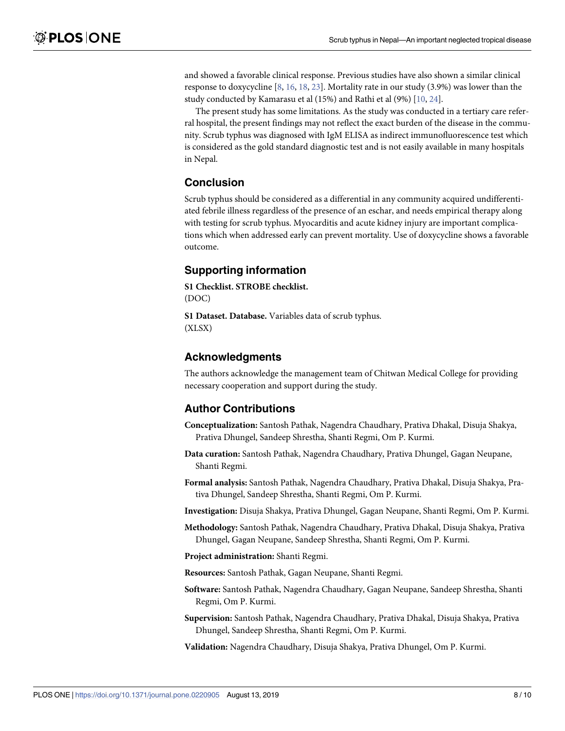<span id="page-8-0"></span>and showed a favorable clinical response. Previous studies have also shown a similar clinical response to doxycycline [[8](#page-9-0), [16](#page-9-0), [18](#page-10-0), [23](#page-10-0)]. Mortality rate in our study (3.9%) was lower than the study conducted by Kamarasu et al (15%) and Rathi et al (9%) [\[10,](#page-9-0) [24\]](#page-10-0).

The present study has some limitations. As the study was conducted in a tertiary care referral hospital, the present findings may not reflect the exact burden of the disease in the community. Scrub typhus was diagnosed with IgM ELISA as indirect immunofluorescence test which is considered as the gold standard diagnostic test and is not easily available in many hospitals in Nepal.

#### **Conclusion**

Scrub typhus should be considered as a differential in any community acquired undifferentiated febrile illness regardless of the presence of an eschar, and needs empirical therapy along with testing for scrub typhus. Myocarditis and acute kidney injury are important complications which when addressed early can prevent mortality. Use of doxycycline shows a favorable outcome.

#### **Supporting information**

**[S1 Checklist.](http://www.plosone.org/article/fetchSingleRepresentation.action?uri=info:doi/10.1371/journal.pone.0220905.s001) STROBE checklist.**  (DOC)

**[S1 Dataset.](http://www.plosone.org/article/fetchSingleRepresentation.action?uri=info:doi/10.1371/journal.pone.0220905.s002) Database.** Variables data of scrub typhus. (XLSX)

#### **Acknowledgments**

The authors acknowledge the management team of Chitwan Medical College for providing necessary cooperation and support during the study.

#### **Author Contributions**

- **Conceptualization:** Santosh Pathak, Nagendra Chaudhary, Prativa Dhakal, Disuja Shakya, Prativa Dhungel, Sandeep Shrestha, Shanti Regmi, Om P. Kurmi.
- **Data curation:** Santosh Pathak, Nagendra Chaudhary, Prativa Dhungel, Gagan Neupane, Shanti Regmi.
- **Formal analysis:** Santosh Pathak, Nagendra Chaudhary, Prativa Dhakal, Disuja Shakya, Prativa Dhungel, Sandeep Shrestha, Shanti Regmi, Om P. Kurmi.

**Investigation:** Disuja Shakya, Prativa Dhungel, Gagan Neupane, Shanti Regmi, Om P. Kurmi.

- **Methodology:** Santosh Pathak, Nagendra Chaudhary, Prativa Dhakal, Disuja Shakya, Prativa Dhungel, Gagan Neupane, Sandeep Shrestha, Shanti Regmi, Om P. Kurmi.
- **Project administration:** Shanti Regmi.

**Resources:** Santosh Pathak, Gagan Neupane, Shanti Regmi.

- **Software:** Santosh Pathak, Nagendra Chaudhary, Gagan Neupane, Sandeep Shrestha, Shanti Regmi, Om P. Kurmi.
- **Supervision:** Santosh Pathak, Nagendra Chaudhary, Prativa Dhakal, Disuja Shakya, Prativa Dhungel, Sandeep Shrestha, Shanti Regmi, Om P. Kurmi.

**Validation:** Nagendra Chaudhary, Disuja Shakya, Prativa Dhungel, Om P. Kurmi.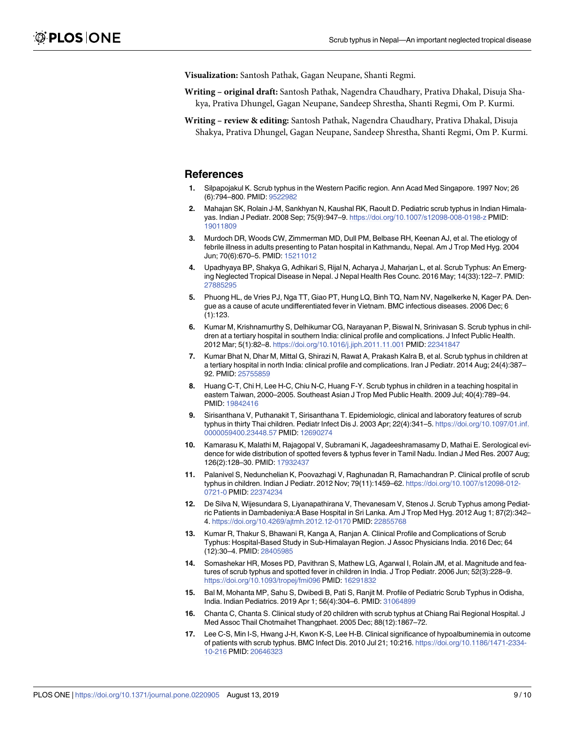<span id="page-9-0"></span>**Visualization:** Santosh Pathak, Gagan Neupane, Shanti Regmi.

- **Writing original draft:** Santosh Pathak, Nagendra Chaudhary, Prativa Dhakal, Disuja Shakya, Prativa Dhungel, Gagan Neupane, Sandeep Shrestha, Shanti Regmi, Om P. Kurmi.
- **Writing review & editing:** Santosh Pathak, Nagendra Chaudhary, Prativa Dhakal, Disuja Shakya, Prativa Dhungel, Gagan Neupane, Sandeep Shrestha, Shanti Regmi, Om P. Kurmi.

#### **References**

- **[1](#page-2-0).** Silpapojakul K. Scrub typhus in the Western Pacific region. Ann Acad Med Singapore. 1997 Nov; 26 (6):794–800. PMID: [9522982](http://www.ncbi.nlm.nih.gov/pubmed/9522982)
- **[2](#page-2-0).** Mahajan SK, Rolain J-M, Sankhyan N, Kaushal RK, Raoult D. Pediatric scrub typhus in Indian Himalayas. Indian J Pediatr. 2008 Sep; 75(9):947–9.<https://doi.org/10.1007/s12098-008-0198-z> PMID: [19011809](http://www.ncbi.nlm.nih.gov/pubmed/19011809)
- **[3](#page-2-0).** Murdoch DR, Woods CW, Zimmerman MD, Dull PM, Belbase RH, Keenan AJ, et al. The etiology of febrile illness in adults presenting to Patan hospital in Kathmandu, Nepal. Am J Trop Med Hyg. 2004 Jun; 70(6):670–5. PMID: [15211012](http://www.ncbi.nlm.nih.gov/pubmed/15211012)
- **[4](#page-2-0).** Upadhyaya BP, Shakya G, Adhikari S, Rijal N, Acharya J, Maharjan L, et al. Scrub Typhus: An Emerging Neglected Tropical Disease in Nepal. J Nepal Health Res Counc. 2016 May; 14(33):122–7. PMID: [27885295](http://www.ncbi.nlm.nih.gov/pubmed/27885295)
- **[5](#page-2-0).** Phuong HL, de Vries PJ, Nga TT, Giao PT, Hung LQ, Binh TQ, Nam NV, Nagelkerke N, Kager PA. Dengue as a cause of acute undifferentiated fever in Vietnam. BMC infectious diseases. 2006 Dec; 6 (1):123.
- **[6](#page-7-0).** Kumar M, Krishnamurthy S, Delhikumar CG, Narayanan P, Biswal N, Srinivasan S. Scrub typhus in children at a tertiary hospital in southern India: clinical profile and complications. J Infect Public Health. 2012 Mar; 5(1):82–8.<https://doi.org/10.1016/j.jiph.2011.11.001> PMID: [22341847](http://www.ncbi.nlm.nih.gov/pubmed/22341847)
- **[7](#page-2-0).** Kumar Bhat N, Dhar M, Mittal G, Shirazi N, Rawat A, Prakash Kalra B, et al. Scrub typhus in children at a tertiary hospital in north India: clinical profile and complications. Iran J Pediatr. 2014 Aug; 24(4):387– 92. PMID: [25755859](http://www.ncbi.nlm.nih.gov/pubmed/25755859)
- **[8](#page-6-0).** Huang C-T, Chi H, Lee H-C, Chiu N-C, Huang F-Y. Scrub typhus in children in a teaching hospital in eastern Taiwan, 2000–2005. Southeast Asian J Trop Med Public Health. 2009 Jul; 40(4):789–94. PMID: [19842416](http://www.ncbi.nlm.nih.gov/pubmed/19842416)
- **9.** Sirisanthana V, Puthanakit T, Sirisanthana T. Epidemiologic, clinical and laboratory features of scrub typhus in thirty Thai children. Pediatr Infect Dis J. 2003 Apr; 22(4):341–5. [https://doi.org/10.1097/01.inf.](https://doi.org/10.1097/01.inf.0000059400.23448.57)  [0000059400.23448.57](https://doi.org/10.1097/01.inf.0000059400.23448.57) PMID: [12690274](http://www.ncbi.nlm.nih.gov/pubmed/12690274)
- **[10](#page-6-0).** Kamarasu K, Malathi M, Rajagopal V, Subramani K, Jagadeeshramasamy D, Mathai E. Serological evidence for wide distribution of spotted fevers & typhus fever in Tamil Nadu. Indian J Med Res. 2007 Aug; 126(2):128–30. PMID: [17932437](http://www.ncbi.nlm.nih.gov/pubmed/17932437)
- **[11](#page-7-0).** Palanivel S, Nedunchelian K, Poovazhagi V, Raghunadan R, Ramachandran P. Clinical profile of scrub typhus in children. Indian J Pediatr. 2012 Nov; 79(11):1459–62. [https://doi.org/10.1007/s12098-012-](https://doi.org/10.1007/s12098-012-0721-0) [0721-0](https://doi.org/10.1007/s12098-012-0721-0) PMID: [22374234](http://www.ncbi.nlm.nih.gov/pubmed/22374234)
- **[12](#page-7-0).** De Silva N, Wijesundara S, Liyanapathirana V, Thevanesam V, Stenos J. Scrub Typhus among Pediatric Patients in Dambadeniya:A Base Hospital in Sri Lanka. Am J Trop Med Hyg. 2012 Aug 1; 87(2):342– 4.<https://doi.org/10.4269/ajtmh.2012.12-0170> PMID: [22855768](http://www.ncbi.nlm.nih.gov/pubmed/22855768)
- **[13](#page-7-0).** Kumar R, Thakur S, Bhawani R, Kanga A, Ranjan A. Clinical Profile and Complications of Scrub Typhus: Hospital-Based Study in Sub-Himalayan Region. J Assoc Physicians India. 2016 Dec; 64 (12):30–4. PMID: [28405985](http://www.ncbi.nlm.nih.gov/pubmed/28405985)
- **[14](#page-7-0).** Somashekar HR, Moses PD, Pavithran S, Mathew LG, Agarwal I, Rolain JM, et al. Magnitude and features of scrub typhus and spotted fever in children in India. J Trop Pediatr. 2006 Jun; 52(3):228–9. <https://doi.org/10.1093/tropej/fmi096> PMID: [16291832](http://www.ncbi.nlm.nih.gov/pubmed/16291832)
- **[15](#page-7-0).** Bal M, Mohanta MP, Sahu S, Dwibedi B, Pati S, Ranjit M. Profile of Pediatric Scrub Typhus in Odisha, India. Indian Pediatrics. 2019 Apr 1; 56(4):304–6. PMID: [31064899](http://www.ncbi.nlm.nih.gov/pubmed/31064899)
- **[16](#page-7-0).** Chanta C, Chanta S. Clinical study of 20 children with scrub typhus at Chiang Rai Regional Hospital. J Med Assoc Thail Chotmaihet Thangphaet. 2005 Dec; 88(12):1867–72.
- **[17](#page-7-0).** Lee C-S, Min I-S, Hwang J-H, Kwon K-S, Lee H-B. Clinical significance of hypoalbuminemia in outcome of patients with scrub typhus. BMC Infect Dis. 2010 Jul 21; 10:216. [https://doi.org/10.1186/1471-2334-](https://doi.org/10.1186/1471-2334-10-216) [10-216](https://doi.org/10.1186/1471-2334-10-216) PMID: [20646323](http://www.ncbi.nlm.nih.gov/pubmed/20646323)